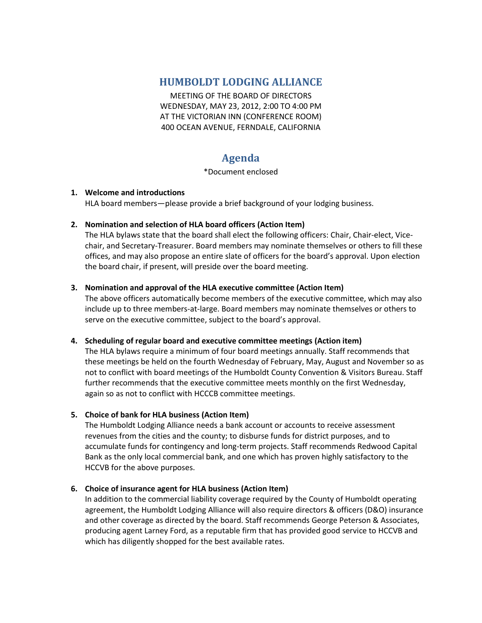## **HUMBOLDT LODGING ALLIANCE**

MEETING OF THE BOARD OF DIRECTORS WEDNESDAY, MAY 23, 2012, 2:00 TO 4:00 PM AT THE VICTORIAN INN (CONFERENCE ROOM) 400 OCEAN AVENUE, FERNDALE, CALIFORNIA

# **Agenda**

#### \*Document enclosed

## **1. Welcome and introductions**

HLA board members—please provide a brief background of your lodging business.

## **2. Nomination and selection of HLA board officers (Action Item)**

The HLA bylaws state that the board shall elect the following officers: Chair, Chair-elect, Vicechair, and Secretary-Treasurer. Board members may nominate themselves or others to fill these offices, and may also propose an entire slate of officers for the board's approval. Upon election the board chair, if present, will preside over the board meeting.

## **3. Nomination and approval of the HLA executive committee (Action Item)**

The above officers automatically become members of the executive committee, which may also include up to three members-at-large. Board members may nominate themselves or others to serve on the executive committee, subject to the board's approval.

## **4. Scheduling of regular board and executive committee meetings (Action item)**

The HLA bylaws require a minimum of four board meetings annually. Staff recommends that these meetings be held on the fourth Wednesday of February, May, August and November so as not to conflict with board meetings of the Humboldt County Convention & Visitors Bureau. Staff further recommends that the executive committee meets monthly on the first Wednesday, again so as not to conflict with HCCCB committee meetings.

## **5. Choice of bank for HLA business (Action Item)**

The Humboldt Lodging Alliance needs a bank account or accounts to receive assessment revenues from the cities and the county; to disburse funds for district purposes, and to accumulate funds for contingency and long-term projects. Staff recommends Redwood Capital Bank as the only local commercial bank, and one which has proven highly satisfactory to the HCCVB for the above purposes.

## **6. Choice of insurance agent for HLA business (Action Item)**

In addition to the commercial liability coverage required by the County of Humboldt operating agreement, the Humboldt Lodging Alliance will also require directors & officers (D&O) insurance and other coverage as directed by the board. Staff recommends George Peterson & Associates, producing agent Larney Ford, as a reputable firm that has provided good service to HCCVB and which has diligently shopped for the best available rates.